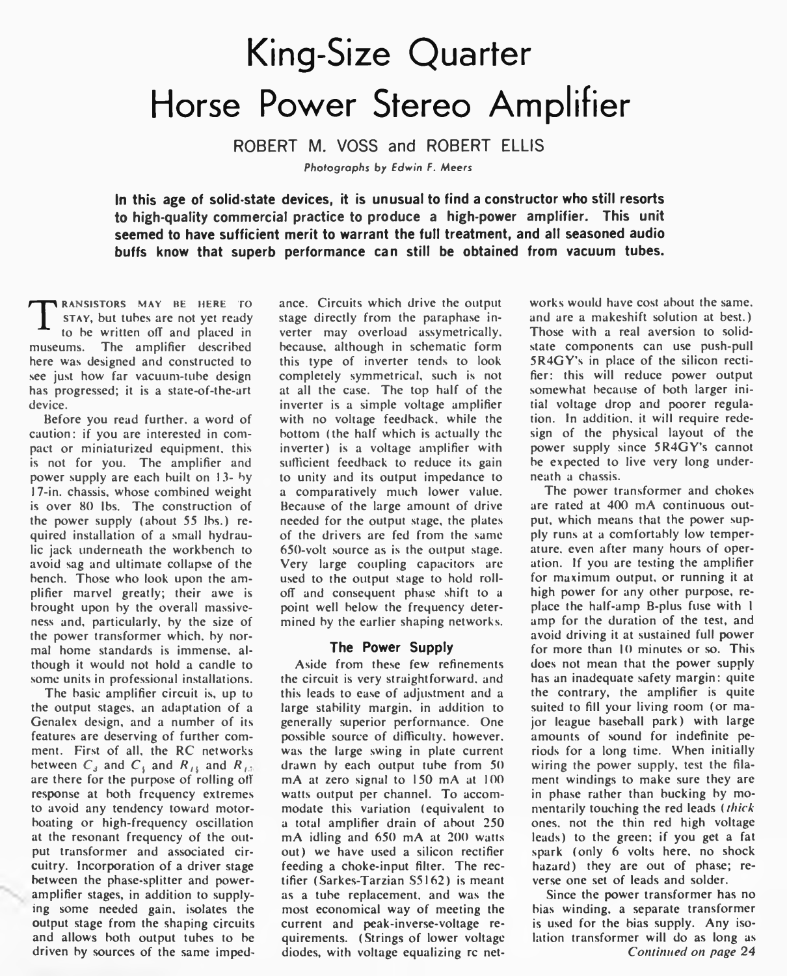# King-Size Quarter Horse Power Stereo Amplifier

**ROBERT M. VOSS and ROBERT ELLIS**

*Photographs* by *Edwin F. Meers*

**In this age of solid-state devices, it is unusual to find a constructor who still resorts to high-quality commercial practice to produce a high-power amplifier. This unit seemed to have sufficient merit to warrant the full treatment, and all seasoned audio buffs know that superb performance can still be obtained from vacuum tubes.**

T **RANSISTORS MAY BE HERE TO** stay, but tubes are not yet ready to be written off and placed in museums. The amplifier described here was designed and constructed to see just how far vacuum-tube design has progressed; it is a state-of-the-art device.

Before you read further, a word of caution: if you are interested in compact or miniaturized equipment, this is not for you. The amplifier and power supply are each built on 13- by 17-in. chassis, whose combined weight is over 80 lbs. The construction of the power supply (about 55 lbs.) required installation of a small hydraulic jack underneath the workbench to avoid sag and ultimate collapse of the bench. Those who look upon the amplifier marvel greatly; their awe is brought upon by the overall massiveness and, particularly, by the size of the power transformer which, by normal home standards is immense, although it would not hold a candle to some units in professional installations.

The basic amplifier circuit is, up to the output stages, an adaptation of a Genalex design, and a number of its features are deserving of further comment. First of all, the RC networks between  $C_3$  and  $C_4$  and  $R_{13}$  and  $R_{15}$ are there for the purpose of rolling off response at both frequency extremes to avoid any tendency toward motorboating or high-frequency oscillation at the resonant frequency of the output transformer and associated circuitry. Incorporation of a driver stage between the phase-splitter and poweramplifier stages, in addition to supplying some needed gain, isolates the output stage from the shaping circuits and allows both output tubes to be driven by sources of the same impedance. Circuits which drive the output stage directly from the paraphase inverter may overload assymetrically. because, although in schematic form this type of inverter tends to look completely symmetrical, such is not at all the case. The top half of the inverter is a simple voltage amplifier with no voltage feedback, while the bottom (the half which is actually the inverter) is a voltage amplifier with sufficient feedback to reduce its gain to unity and its output impedance to a comparatively much lower value. Because of the large amount of drive needed for the output stage, the plates of the drivers are fed from the same 650-volt source as is the output stage. Very large coupling capacitors are used to the output stage to hold rolloff and consequent phase shift to a point well below the frequency determined by the earlier shaping networks.

### **The Power Supply**

Aside from these few refinements the circuit is very straightforward, and this leads to ease of adjustment and a large stability margin, in addition to generally superior performance. One possible source of difficulty, however, was the large swing in plate current drawn by each output tube from 50 mA at zero signal to 150 mA at 100 watts output per channel. To accommodate this variation (equivalent to a total amplifier drain of about 250 mA idling and 650 mA at 200 watts out) we have used a silicon rectifier feeding a choke-input filter. The rectifier (Sarkes-Tarzian S5I62) is meant as a tube replacement, and was the most economical way of meeting the current and peak-inverse-voltage requirements. (Strings of lower voltage diodes, with voltage equalizing rc networks would have cost about the same, and are a makeshift solution at best.) Those with a real aversion to solidstate components can use push-pull 5R4GY's in place of the silicon rectifier: this will reduce power output somewhat because of both larger initial voltage drop and poorer regulation. In addition, it will require redesign of the physical layout of the power supply since 5R4GY's cannot be expected to live very long underneath a chassis.

The power transformer and chokes are rated at 400 mA continuous output, which means that the power supply runs at a comfortably low temperature. even after many hours of operation. If you are testing the amplifier for maximum output, or running it at high power for any other purpose, replace the half-amp B-plus fuse with 1 amp for the duration of the test, and avoid driving it at sustained full power for more than 10 minutes or so. This does not mean that the power supply has an inadequate safety margin: quite the contrary, the amplifier is quite suited to fill your living room (or major league baseball park) with large amounts of sound for indefinite periods for a long time. When initially wiring the power supply, test the filament windings to make sure they are in phase rather than bucking by momentarily touching the red leads *(thick* ones, not the thin red high voltage leads) to the green; if you get a fat spark (only 6 volts here, no shock hazard) they are out of phase; reverse one set of leads and solder.

Since the power transformer has no bias winding, a separate transformer is used for the bias supply. Any isolation transformer will do as long as *Continued on page 24*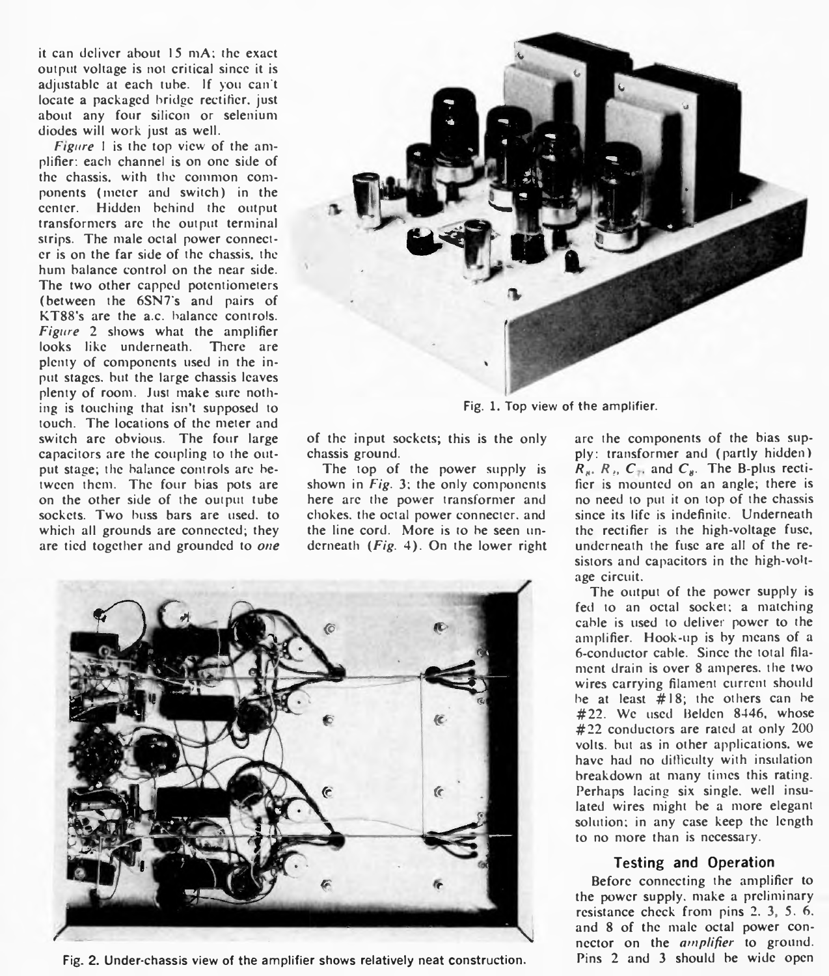it can deliver about 15 mA; the exact output voltage is not critical since it is adjustable at each tube. If you can't locate a packaged bridge rectifier, just about any four silicon or selenium diodes will work just as well.

*Figure* 1 is the top view of the amplifier: each channel is on one side of the chassis, with the common components (meter and switch) in the center. Hidden behind the output transformers are the output terminal strips. The male octal power connecter is on the far side of the chassis, the hum balance control on the near side. The two other capped potentiometers (between the 6SN7's and pairs of KT88's are the a.c. balance controls. *Figure* 2 shows what the amplifier looks like underneath. There are plenty of components used in the input stages, but the large chassis leaves plenty of room. Just make sure nothing is touching that isn't supposed to touch. The locations of the meter and switch are obvious. The four large capacitors are the coupling to the output stage; the balance controls are between them. The four bias pots are on the other side of the output tube sockets. Two buss bars are used, to which all grounds are connected; they are tied together and grounded to *one*



Fig. 1. Top view of the amplifier.

of the input sockets; this is the only chassis ground.

The top of the power supply is shown in *Fig.* 3; the only components here are the power transformer and chokes, the octal power connecter, and the line cord. More is to be seen underneath *(Fig.* 4). On the lower right



Fig. 2. Under-chassis view of the amplifier shows relatively neat construction. Pins 2 and 3 should be wide open

are the components of the bias supply: transformer and (partly hidden)  $R_{\mu}$ ,  $R_{\mu}$ ,  $C_{\tau}$ , and  $C_{\mu}$ . The B-plus rectifier is mounted on an angle; there is no need to put it on top of the chassis since its life is indefinite. Underneath the rectifier is the high-voltage fuse, underneath the fuse are all of the resistors and capacitors in the high-voltage circuit.

The output of the power supply is fed to an octal socket; a matching cable is used to deliver power to the amplifier. Hook-up is by means of a 6-conductor cable. Since the total filament drain is over 8 amperes, the two wires carrying filament current should be at least #18; the others can be #22. We used Belden 8446, whose #22 conductors are rated at only 200 volts, but as in other applications, we have had no difficulty with insulation breakdown at many times this rating. Perhaps lacing six single, well insulated wires might be a more elegant solution; in any case keep the length to no more than is necessary.

### **Testing and Operation**

Before connecting the amplifier to the power supply, make a preliminary resistance check from pins 2. 3, 5, 6. and 8 of the male octal power connector on the *amplifier* to ground.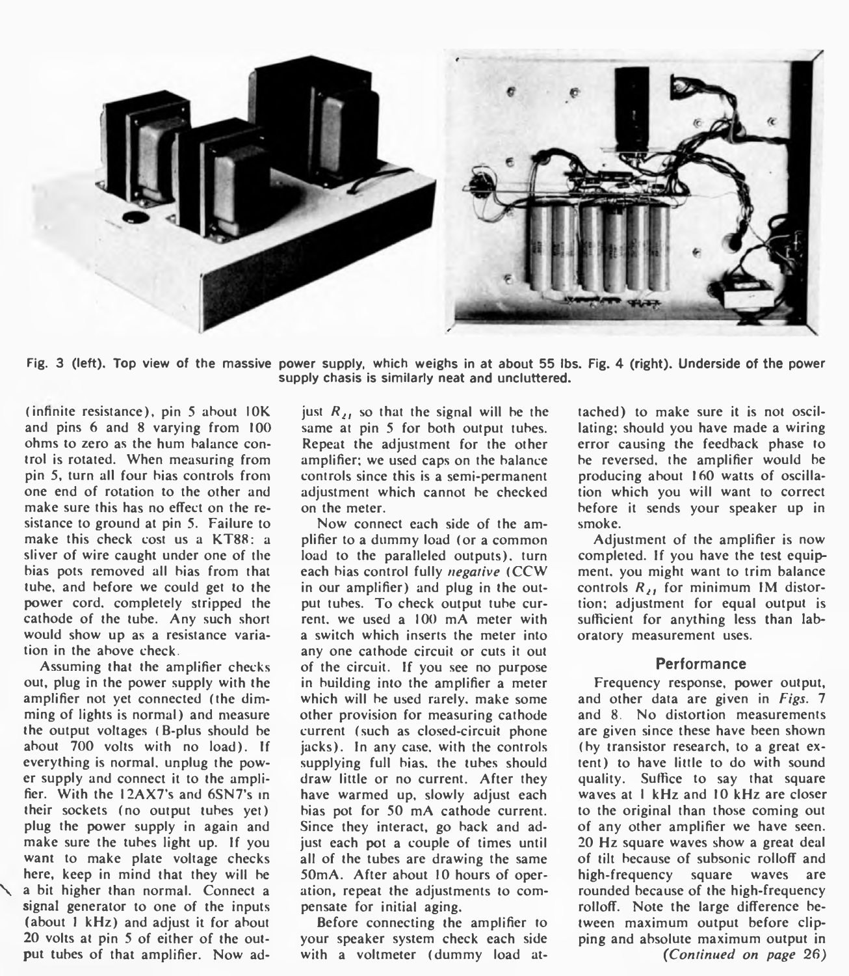

Fig. 3 (left). Top view of the massive power supply, which weighs in at about 55 lbs. Fig. 4 (right). Underside of the power supply chasis is similarly neat and uncluttered.

(infinite resistance), pin 5 about IOK and pins 6 and 8 varying from 100 ohms to zero as the hum balance control is rotated. When measuring from pin 5, turn all four bias controls from one end of rotation to the other and make sure this has no effect on the resistance to ground at pin 5. Failure to make this check cost us a KT88: a sliver of wire caught under one of the bias pots removed all bias from that tube, and before we could get to the power cord, completely stripped the cathode of the tube. Any such short would show up as a resistance variation in the above check.

Assuming that the amplifier checks out, plug in the power supply with the amplifier not yet connected (the dimming of lights is normal) and measure the output voltages (B-plus should be about 700 volts with no load). If everything is normal, unplug the power supply and connect it to the amplifier. With the 12AX7's and 6SN7's in their sockets (no output tubes yet) plug the power supply in again and make sure the tubes light up. If you want to make plate voltage checks here, keep in mind that they will be a bit higher than normal. Connect a signal generator to one of the inputs (about 1 kHz) and adjust it for about 20 volts at pin 5 of either of the output tubes of that amplifier. Now adjust  $R_{21}$  so that the signal will be the same at pin 5 for both output tubes. Repeat the adjustment for the other amplifier; we used caps on the balance controls since this is a semi-permanent adjustment which cannot be checked on the meter.

Now connect each side of the amplifier to a dummy load (or a common load to the paralleled outputs), turn each bias control fully *negative* (CCW in our amplifier) and plug in the output tubes. To check output tube current. we used a 100 mA meter with a switch which inserts the meter into any one cathode circuit or cuts it out of the circuit. If you see no purpose in building into the amplifier a meter which will be used rarely, make some other provision for measuring cathode current (such as closed-circuit phone jacks). In any case, with the controls supplying full bias, the tubes should draw little or no current. After they have warmed up, slowly adjust each bias pot for 50 mA cathode current. Since they interact, go back and adjust each pot a couple of times until all of the tubes are drawing the same 50mA. After about 10 hours of operation, repeat the adjustments to compensate for initial aging.

Before connecting the amplifier to your speaker system check each side with a voltmeter (dummy load attached) to make sure it is not oscillating; should you have made a wiring error causing the feedback phase to be reversed, the amplifier would be producing about 160 watts of oscillation which you will want to correct before it sends your speaker up in smoke.

Adjustment of the amplifier is now completed. If you have the test equipment. you might want to trim balance controls  $R_{i}$ , for minimum IM distortion; adjustment for equal output is sufficient for anything less than laboratory measurement uses.

#### **Performance**

Frequency response, power output, and other data are given in *Figs.* 7 and 8. No distortion measurements are given since these have been shown (by transistor research, to a great extent) to have little to do with sound quality. Suffice to say that square waves at I kHz and 10 kHz are closer to the original than those coming out of any other amplifier we have seen. 20 Hz square waves show a great deal of tilt because of subsonic rolloff and high-frequency square waves are rounded because of the high-frequency rolloff. Note the large difference between maximum output before clipping and absolute maximum output in *(Continued on page 26)*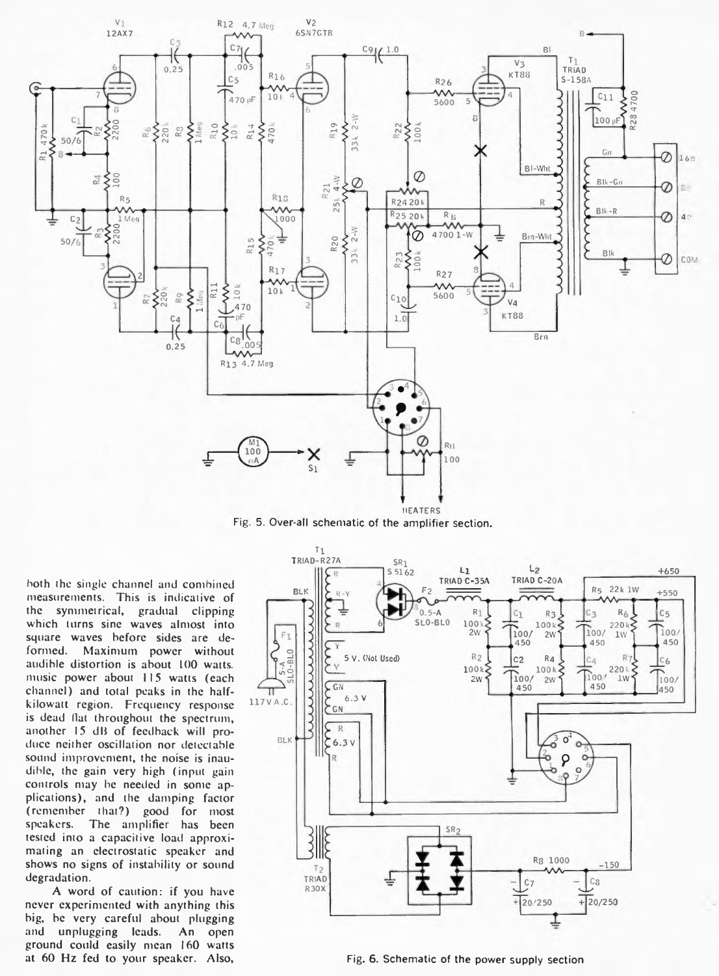

Fig. 5. Over-all schematic of the amplifier section.

hoth the single channel and combined measurements. This is indicative of the symmetrical, gradual clipping which turns sine waves almost into square waves before sides are deformed. Maximum power without audible distortion is about 100 watts, music power about 115 watts (each channel) and total peaks in the halfkilowatt region. Frequency response is dead flat throughout the spectrum, another 15 dB of feedback will produce neither oscillation nor detectable sound improvement, the noise is inaudible, the gain very high (input gain controls may be needed in some applications), and the damping factor (remember that?) good for most speakers. The amplifier has been tested into a capacitive load approximating an electrostatic speaker and shows no signs of instability or sound degradation.

A word of caution: if you have never experimented with anything this big, be very careful about plugging and unplugging leads. An open ground could easily mean 160 watts at 60 Hz fed to your speaker. Also,



Fig. 6. Schematic of the power supply section